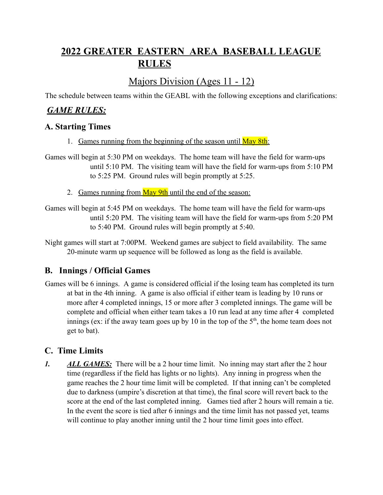# **2022 GREATER EASTERN AREA BASEBALL LEAGUE RULES**

## Majors Division (Ages 11 - 12)

The schedule between teams within the GEABL with the following exceptions and clarifications:

## *GAME RULES:*

## **A. Starting Times**

- 1. Games running from the beginning of the season until May 8th:
- Games will begin at 5:30 PM on weekdays. The home team will have the field for warm-ups until 5:10 PM. The visiting team will have the field for warm-ups from 5:10 PM to 5:25 PM. Ground rules will begin promptly at 5:25.
	- 2. Games running from  $\frac{\text{May 9th}}{\text{until}}$  the end of the season:
- Games will begin at 5:45 PM on weekdays. The home team will have the field for warm-ups until 5:20 PM. The visiting team will have the field for warm-ups from 5:20 PM to 5:40 PM. Ground rules will begin promptly at 5:40.

Night games will start at 7:00PM. Weekend games are subject to field availability. The same 20-minute warm up sequence will be followed as long as the field is available.

## **B. Innings / Official Games**

Games will be 6 innings. A game is considered official if the losing team has completed its turn at bat in the 4th inning. A game is also official if either team is leading by 10 runs or more after 4 completed innings, 15 or more after 3 completed innings. The game will be complete and official when either team takes a 10 run lead at any time after 4 completed innings (ex: if the away team goes up by 10 in the top of the  $5<sup>th</sup>$ , the home team does not get to bat).

## **C. Time Limits**

*1. ALL GAMES:* There will be a 2 hour time limit. No inning may start after the 2 hour time (regardless if the field has lights or no lights). Any inning in progress when the game reaches the 2 hour time limit will be completed. If that inning can't be completed due to darkness (umpire's discretion at that time), the final score will revert back to the score at the end of the last completed inning. Games tied after 2 hours will remain a tie. In the event the score is tied after 6 innings and the time limit has not passed yet, teams will continue to play another inning until the 2 hour time limit goes into effect.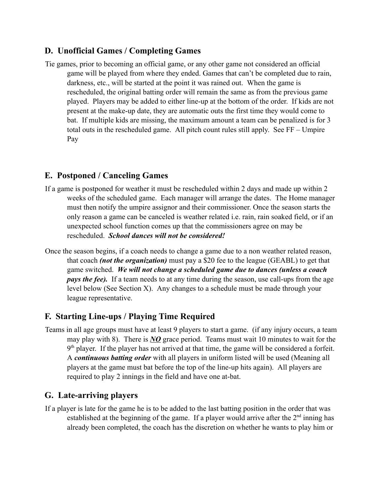## **D. Unofficial Games / Completing Games**

Tie games, prior to becoming an official game, or any other game not considered an official game will be played from where they ended. Games that can't be completed due to rain, darkness, etc., will be started at the point it was rained out. When the game is rescheduled, the original batting order will remain the same as from the previous game played. Players may be added to either line-up at the bottom of the order. If kids are not present at the make-up date, they are automatic outs the first time they would come to bat. If multiple kids are missing, the maximum amount a team can be penalized is for 3 total outs in the rescheduled game. All pitch count rules still apply. See FF – Umpire Pay

## **E. Postponed / Canceling Games**

- If a game is postponed for weather it must be rescheduled within 2 days and made up within 2 weeks of the scheduled game. Each manager will arrange the dates. The Home manager must then notify the umpire assignor and their commissioner. Once the season starts the only reason a game can be canceled is weather related i.e. rain, rain soaked field, or if an unexpected school function comes up that the commissioners agree on may be rescheduled. *School dances will not be considered!*
- Once the season begins, if a coach needs to change a game due to a non weather related reason, that coach *(not the organization)* must pay a \$20 fee to the league (GEABL) to get that game switched. *We will not change a scheduled game due to dances (unless a coach pays the fee).* If a team needs to at any time during the season, use call-ups from the age level below (See Section X). Any changes to a schedule must be made through your league representative.

## **F. Starting Line-ups / Playing Time Required**

Teams in all age groups must have at least 9 players to start a game. (if any injury occurs, a team may play with 8). There is *NO* grace period. Teams must wait 10 minutes to wait for the 9<sup>th</sup> player. If the player has not arrived at that time, the game will be considered a forfeit. A *continuous batting order* with all players in uniform listed will be used (Meaning all players at the game must bat before the top of the line-up hits again). All players are required to play 2 innings in the field and have one at-bat.

## **G. Late-arriving players**

If a player is late for the game he is to be added to the last batting position in the order that was established at the beginning of the game. If a player would arrive after the  $2<sup>nd</sup>$  inning has already been completed, the coach has the discretion on whether he wants to play him or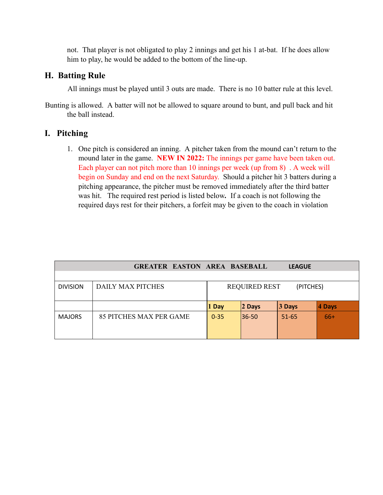not. That player is not obligated to play 2 innings and get his 1 at-bat. If he does allow him to play, he would be added to the bottom of the line-up.

### **H. Batting Rule**

All innings must be played until 3 outs are made. There is no 10 batter rule at this level.

Bunting is allowed. A batter will not be allowed to square around to bunt, and pull back and hit the ball instead.

## **I. Pitching**

1. One pitch is considered an inning. A pitcher taken from the mound can't return to the mound later in the game. **NEW IN 2022:** The innings per game have been taken out. Each player can not pitch more than 10 innings per week (up from 8) . A week will begin on Sunday and end on the next Saturday. Should a pitcher hit 3 batters during a pitching appearance, the pitcher must be removed immediately after the third batter was hit. The required rest period is listed below*.* If a coach is not following the required days rest for their pitchers, a forfeit may be given to the coach in violation

|                 | <b>GREATER EASTON AREA BASEBALL</b> |                                   |           | <b>LEAGUE</b> |           |
|-----------------|-------------------------------------|-----------------------------------|-----------|---------------|-----------|
|                 |                                     |                                   |           |               |           |
| <b>DIVISION</b> | DAILY MAX PITCHES                   | <b>REQUIRED REST</b><br>(PITCHES) |           |               |           |
|                 |                                     | 1 Day                             | $ 2$ Days | 3 Days        | $ 4$ Days |
| <b>MAJORS</b>   | 85 PITCHES MAX PER GAME             | $0 - 35$                          | 36-50     | $51 - 65$     | $66+$     |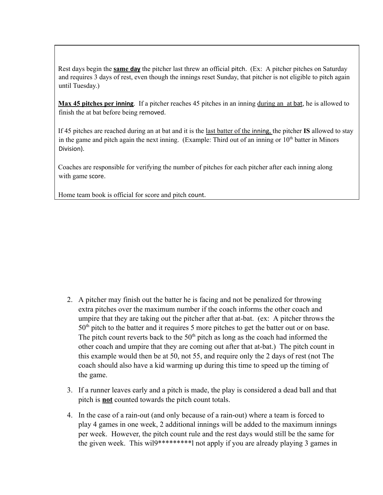Rest days begin the **same day** the pitcher last threw an official pitch. (Ex: A pitcher pitches on Saturday and requires 3 days of rest, even though the innings reset Sunday, that pitcher is not eligible to pitch again until Tuesday.)

**Max 45 pitches per inning**. If a pitcher reaches 45 pitches in an inning during an at bat, he is allowed to finish the at bat before being removed.

If 45 pitches are reached during an at bat and it is the last batter of the inning, the pitcher **IS** allowed to stay in the game and pitch again the next inning. (Example: Third out of an inning or  $10<sup>th</sup>$  batter in Minors Division).

Coaches are responsible for verifying the number of pitches for each pitcher after each inning along with game score.

Home team book is official for score and pitch count.

- 2. A pitcher may finish out the batter he is facing and not be penalized for throwing extra pitches over the maximum number if the coach informs the other coach and umpire that they are taking out the pitcher after that at-bat. (ex: A pitcher throws the  $50<sup>th</sup>$  pitch to the batter and it requires 5 more pitches to get the batter out or on base. The pitch count reverts back to the  $50<sup>th</sup>$  pitch as long as the coach had informed the other coach and umpire that they are coming out after that at-bat.) The pitch count in this example would then be at 50, not 55, and require only the 2 days of rest (not The coach should also have a kid warming up during this time to speed up the timing of the game.
- 3. If a runner leaves early and a pitch is made, the play is considered a dead ball and that pitch is **not** counted towards the pitch count totals.
- 4. In the case of a rain-out (and only because of a rain-out) where a team is forced to play 4 games in one week, 2 additional innings will be added to the maximum innings per week. However, the pitch count rule and the rest days would still be the same for the given week. This wil9\*\*\*\*\*\*\*\*\*l not apply if you are already playing 3 games in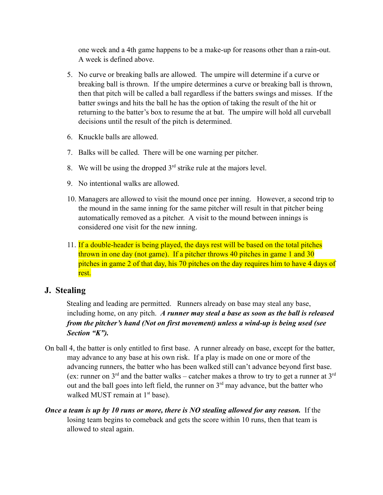one week and a 4th game happens to be a make-up for reasons other than a rain-out. A week is defined above.

- 5. No curve or breaking balls are allowed. The umpire will determine if a curve or breaking ball is thrown. If the umpire determines a curve or breaking ball is thrown, then that pitch will be called a ball regardless if the batters swings and misses. If the batter swings and hits the ball he has the option of taking the result of the hit or returning to the batter's box to resume the at bat. The umpire will hold all curveball decisions until the result of the pitch is determined.
- 6. Knuckle balls are allowed.
- 7. Balks will be called. There will be one warning per pitcher.
- 8. We will be using the dropped  $3<sup>rd</sup>$  strike rule at the majors level.
- 9. No intentional walks are allowed.
- 10. Managers are allowed to visit the mound once per inning. However, a second trip to the mound in the same inning for the same pitcher will result in that pitcher being automatically removed as a pitcher. A visit to the mound between innings is considered one visit for the new inning.
- 11. If a double-header is being played, the days rest will be based on the total pitches thrown in one day (not game). If a pitcher throws 40 pitches in game 1 and 30 pitches in game 2 of that day, his 70 pitches on the day requires him to have 4 days of rest.

## **J. Stealing**

Stealing and leading are permitted. Runners already on base may steal any base, including home, on any pitch. *A runner may steal a base as soon as the ball is released from the pitcher's hand (Not on first movement) unless a wind-up is being used (see Section "K").*

- On ball 4, the batter is only entitled to first base. A runner already on base, except for the batter, may advance to any base at his own risk. If a play is made on one or more of the advancing runners, the batter who has been walked still can't advance beyond first base. (ex: runner on  $3^{rd}$  and the batter walks – catcher makes a throw to try to get a runner at  $3^{rd}$ out and the ball goes into left field, the runner on  $3<sup>rd</sup>$  may advance, but the batter who walked MUST remain at 1<sup>st</sup> base).
- *Once a team is up by 10 runs or more, there is NO stealing allowed for any reason.* If the losing team begins to comeback and gets the score within 10 runs, then that team is allowed to steal again.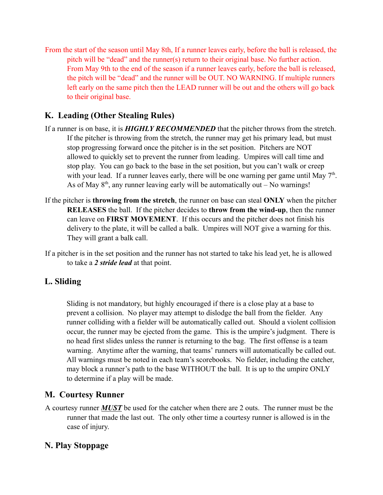From the start of the season until May 8th, If a runner leaves early, before the ball is released, the pitch will be "dead" and the runner(s) return to their original base. No further action. From May 9th to the end of the season if a runner leaves early, before the ball is released, the pitch will be "dead" and the runner will be OUT. NO WARNING. If multiple runners left early on the same pitch then the LEAD runner will be out and the others will go back to their original base.

## **K. Leading (Other Stealing Rules)**

- If a runner is on base, it is *HIGHLY RECOMMENDED* that the pitcher throws from the stretch. If the pitcher is throwing from the stretch, the runner may get his primary lead, but must stop progressing forward once the pitcher is in the set position. Pitchers are NOT allowed to quickly set to prevent the runner from leading. Umpires will call time and stop play. You can go back to the base in the set position, but you can't walk or creep with your lead. If a runner leaves early, there will be one warning per game until May  $7<sup>th</sup>$ . As of May  $8<sup>th</sup>$ , any runner leaving early will be automatically out – No warnings!
- If the pitcher is **throwing from the stretch**, the runner on base can steal **ONLY** when the pitcher **RELEASES** the ball. If the pitcher decides to **throw from the wind-up**, then the runner can leave on **FIRST MOVEMENT**. If this occurs and the pitcher does not finish his delivery to the plate, it will be called a balk. Umpires will NOT give a warning for this. They will grant a balk call.
- If a pitcher is in the set position and the runner has not started to take his lead yet, he is allowed to take a *2 stride lead* at that point.

## **L. Sliding**

Sliding is not mandatory, but highly encouraged if there is a close play at a base to prevent a collision. No player may attempt to dislodge the ball from the fielder. Any runner colliding with a fielder will be automatically called out. Should a violent collision occur, the runner may be ejected from the game. This is the umpire's judgment. There is no head first slides unless the runner is returning to the bag. The first offense is a team warning. Anytime after the warning, that teams' runners will automatically be called out. All warnings must be noted in each team's scorebooks. No fielder, including the catcher, may block a runner's path to the base WITHOUT the ball. It is up to the umpire ONLY to determine if a play will be made.

## **M. Courtesy Runner**

A courtesy runner *MUST* be used for the catcher when there are 2 outs. The runner must be the runner that made the last out. The only other time a courtesy runner is allowed is in the case of injury.

### **N. Play Stoppage**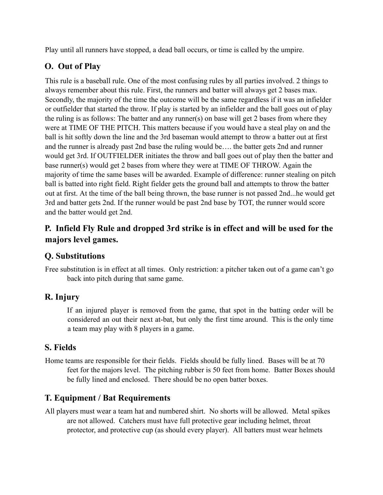Play until all runners have stopped, a dead ball occurs, or time is called by the umpire.

## **O. Out of Play**

This rule is a baseball rule. One of the most confusing rules by all parties involved. 2 things to always remember about this rule. First, the runners and batter will always get 2 bases max. Secondly, the majority of the time the outcome will be the same regardless if it was an infielder or outfielder that started the throw. If play is started by an infielder and the ball goes out of play the ruling is as follows: The batter and any runner(s) on base will get 2 bases from where they were at TIME OF THE PITCH. This matters because if you would have a steal play on and the ball is hit softly down the line and the 3rd baseman would attempt to throw a batter out at first and the runner is already past 2nd base the ruling would be…. the batter gets 2nd and runner would get 3rd. If OUTFIELDER initiates the throw and ball goes out of play then the batter and base runner(s) would get 2 bases from where they were at TIME OF THROW. Again the majority of time the same bases will be awarded. Example of difference: runner stealing on pitch ball is batted into right field. Right fielder gets the ground ball and attempts to throw the batter out at first. At the time of the ball being thrown, the base runner is not passed 2nd...he would get 3rd and batter gets 2nd. If the runner would be past 2nd base by TOT, the runner would score and the batter would get 2nd.

## **P. Infield Fly Rule and dropped 3rd strike is in effect and will be used for the majors level games.**

## **Q. Substitutions**

Free substitution is in effect at all times. Only restriction: a pitcher taken out of a game can't go back into pitch during that same game.

## **R. Injury**

If an injured player is removed from the game, that spot in the batting order will be considered an out their next at-bat, but only the first time around. This is the only time a team may play with 8 players in a game.

## **S. Fields**

Home teams are responsible for their fields. Fields should be fully lined. Bases will be at 70 feet for the majors level. The pitching rubber is 50 feet from home. Batter Boxes should be fully lined and enclosed. There should be no open batter boxes.

## **T. Equipment / Bat Requirements**

All players must wear a team hat and numbered shirt. No shorts will be allowed. Metal spikes are not allowed. Catchers must have full protective gear including helmet, throat protector, and protective cup (as should every player). All batters must wear helmets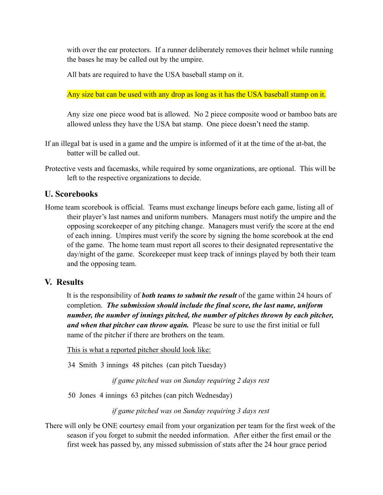with over the ear protectors. If a runner deliberately removes their helmet while running the bases he may be called out by the umpire.

All bats are required to have the USA baseball stamp on it.

Any size bat can be used with any drop as long as it has the USA baseball stamp on it.

Any size one piece wood bat is allowed. No 2 piece composite wood or bamboo bats are allowed unless they have the USA bat stamp. One piece doesn't need the stamp.

If an illegal bat is used in a game and the umpire is informed of it at the time of the at-bat, the batter will be called out.

Protective vests and facemasks, while required by some organizations, are optional. This will be left to the respective organizations to decide.

### **U. Scorebooks**

Home team scorebook is official. Teams must exchange lineups before each game, listing all of their player's last names and uniform numbers. Managers must notify the umpire and the opposing scorekeeper of any pitching change. Managers must verify the score at the end of each inning. Umpires must verify the score by signing the home scorebook at the end of the game. The home team must report all scores to their designated representative the day/night of the game. Scorekeeper must keep track of innings played by both their team and the opposing team.

#### **V. Results**

It is the responsibility of *both teams to submit the result* of the game within 24 hours of completion. *The submission should include the final score, the last name, uniform number, the number of innings pitched, the number of pitches thrown by each pitcher, and when that pitcher can throw again.* Please be sure to use the first initial or full name of the pitcher if there are brothers on the team.

This is what a reported pitcher should look like:

34 Smith 3 innings 48 pitches (can pitch Tuesday)

*if game pitched was on Sunday requiring 2 days rest*

50 Jones 4 innings 63 pitches (can pitch Wednesday)

*if game pitched was on Sunday requiring 3 days rest*

There will only be ONE courtesy email from your organization per team for the first week of the season if you forget to submit the needed information. After either the first email or the first week has passed by, any missed submission of stats after the 24 hour grace period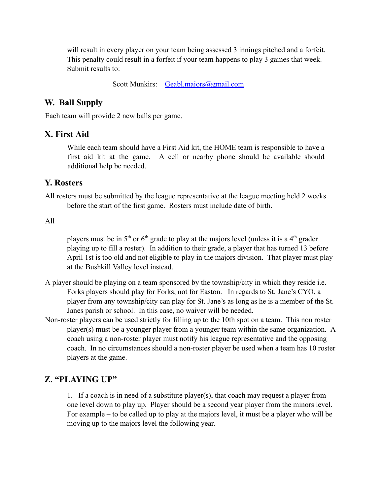will result in every player on your team being assessed 3 innings pitched and a forfeit. This penalty could result in a forfeit if your team happens to play 3 games that week. Submit results to:

Scott Munkirs: Geabl.majors@gmail.com

#### **W. Ball Supply**

Each team will provide 2 new balls per game.

#### **X. First Aid**

While each team should have a First Aid kit, the HOME team is responsible to have a first aid kit at the game. A cell or nearby phone should be available should additional help be needed.

#### **Y. Rosters**

All rosters must be submitted by the league representative at the league meeting held 2 weeks before the start of the first game. Rosters must include date of birth.

#### All

players must be in  $5<sup>th</sup>$  or  $6<sup>th</sup>$  grade to play at the majors level (unless it is a 4<sup>th</sup> grader playing up to fill a roster). In addition to their grade, a player that has turned 13 before April 1st is too old and not eligible to play in the majors division. That player must play at the Bushkill Valley level instead.

- A player should be playing on a team sponsored by the township/city in which they reside i.e. Forks players should play for Forks, not for Easton. In regards to St. Jane's CYO, a player from any township/city can play for St. Jane's as long as he is a member of the St. Janes parish or school. In this case, no waiver will be needed.
- Non-roster players can be used strictly for filling up to the 10th spot on a team. This non roster player(s) must be a younger player from a younger team within the same organization. A coach using a non-roster player must notify his league representative and the opposing coach. In no circumstances should a non-roster player be used when a team has 10 roster players at the game.

#### **Z. "PLAYING UP"**

1. If a coach is in need of a substitute player(s), that coach may request a player from one level down to play up. Player should be a second year player from the minors level. For example – to be called up to play at the majors level, it must be a player who will be moving up to the majors level the following year.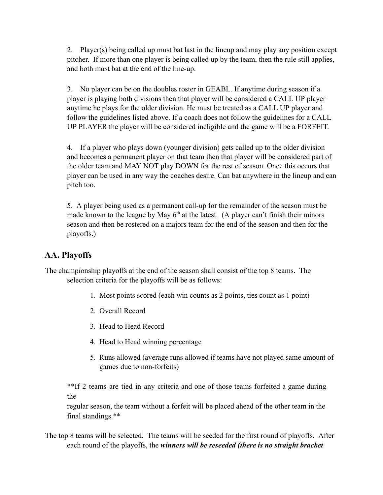2. Player(s) being called up must bat last in the lineup and may play any position except pitcher. If more than one player is being called up by the team, then the rule still applies, and both must bat at the end of the line-up.

3. No player can be on the doubles roster in GEABL. If anytime during season if a player is playing both divisions then that player will be considered a CALL UP player anytime he plays for the older division. He must be treated as a CALL UP player and follow the guidelines listed above. If a coach does not follow the guidelines for a CALL UP PLAYER the player will be considered ineligible and the game will be a FORFEIT.

4. If a player who plays down (younger division) gets called up to the older division and becomes a permanent player on that team then that player will be considered part of the older team and MAY NOT play DOWN for the rest of season. Once this occurs that player can be used in any way the coaches desire. Can bat anywhere in the lineup and can pitch too.

5. A player being used as a permanent call-up for the remainder of the season must be made known to the league by May  $6<sup>th</sup>$  at the latest. (A player can't finish their minors season and then be rostered on a majors team for the end of the season and then for the playoffs.)

## **AA. Playoffs**

The championship playoffs at the end of the season shall consist of the top 8 teams. The selection criteria for the playoffs will be as follows:

- 1. Most points scored (each win counts as 2 points, ties count as 1 point)
- 2. Overall Record
- 3. Head to Head Record
- 4. Head to Head winning percentage
- 5. Runs allowed (average runs allowed if teams have not played same amount of games due to non-forfeits)

\*\*If 2 teams are tied in any criteria and one of those teams forfeited a game during the

regular season, the team without a forfeit will be placed ahead of the other team in the final standings.\*\*

The top 8 teams will be selected. The teams will be seeded for the first round of playoffs. After each round of the playoffs, the *winners will be reseeded (there is no straight bracket*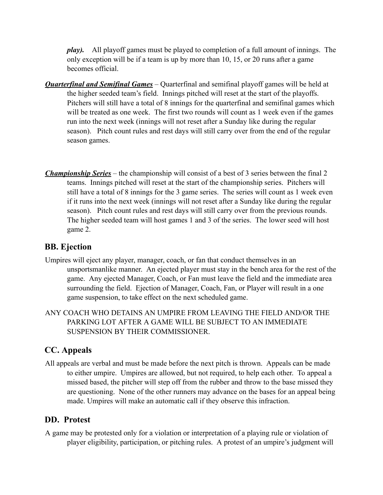*play).* All playoff games must be played to completion of a full amount of innings. The only exception will be if a team is up by more than 10, 15, or 20 runs after a game becomes official.

- *Quarterfinal and Semifinal Games* Quarterfinal and semifinal playoff games will be held at the higher seeded team's field. Innings pitched will reset at the start of the playoffs. Pitchers will still have a total of 8 innings for the quarterfinal and semifinal games which will be treated as one week. The first two rounds will count as 1 week even if the games run into the next week (innings will not reset after a Sunday like during the regular season). Pitch count rules and rest days will still carry over from the end of the regular season games.
- *Championship Series* the championship will consist of a best of 3 series between the final 2 teams. Innings pitched will reset at the start of the championship series. Pitchers will still have a total of 8 innings for the 3 game series. The series will count as 1 week even if it runs into the next week (innings will not reset after a Sunday like during the regular season). Pitch count rules and rest days will still carry over from the previous rounds. The higher seeded team will host games 1 and 3 of the series. The lower seed will host game 2.

### **BB. Ejection**

- Umpires will eject any player, manager, coach, or fan that conduct themselves in an unsportsmanlike manner. An ejected player must stay in the bench area for the rest of the game. Any ejected Manager, Coach, or Fan must leave the field and the immediate area surrounding the field. Ejection of Manager, Coach, Fan, or Player will result in a one game suspension, to take effect on the next scheduled game.
- ANY COACH WHO DETAINS AN UMPIRE FROM LEAVING THE FIELD AND/OR THE PARKING LOT AFTER A GAME WILL BE SUBJECT TO AN IMMEDIATE SUSPENSION BY THEIR COMMISSIONER.

## **CC. Appeals**

All appeals are verbal and must be made before the next pitch is thrown. Appeals can be made to either umpire. Umpires are allowed, but not required, to help each other. To appeal a missed based, the pitcher will step off from the rubber and throw to the base missed they are questioning. None of the other runners may advance on the bases for an appeal being made. Umpires will make an automatic call if they observe this infraction.

#### **DD. Protest**

A game may be protested only for a violation or interpretation of a playing rule or violation of player eligibility, participation, or pitching rules. A protest of an umpire's judgment will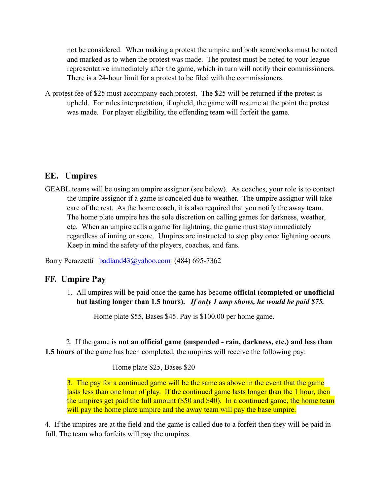not be considered. When making a protest the umpire and both scorebooks must be noted and marked as to when the protest was made. The protest must be noted to your league representative immediately after the game, which in turn will notify their commissioners. There is a 24-hour limit for a protest to be filed with the commissioners.

A protest fee of \$25 must accompany each protest. The \$25 will be returned if the protest is upheld. For rules interpretation, if upheld, the game will resume at the point the protest was made. For player eligibility, the offending team will forfeit the game.

### **EE. Umpires**

GEABL teams will be using an umpire assignor (see below). As coaches, your role is to contact the umpire assignor if a game is canceled due to weather. The umpire assignor will take care of the rest. As the home coach, it is also required that you notify the away team. The home plate umpire has the sole discretion on calling games for darkness, weather, etc. When an umpire calls a game for lightning, the game must stop immediately regardless of inning or score. Umpires are instructed to stop play once lightning occurs. Keep in mind the safety of the players, coaches, and fans.

Barry Perazzetti badland43@yahoo.com (484) 695-7362

#### **FF. Umpire Pay**

1. All umpires will be paid once the game has become **official (completed or unofficial but lasting longer than 1.5 hours).** *If only 1 ump shows, he would be paid \$75.*

Home plate \$55, Bases \$45. Pay is \$100.00 per home game.

2. If the game is **not an official game (suspended - rain, darkness, etc.) and less than 1.5 hours** of the game has been completed, the umpires will receive the following pay:

Home plate \$25, Bases \$20

3. The pay for a continued game will be the same as above in the event that the game lasts less than one hour of play. If the continued game lasts longer than the 1 hour, then the umpires get paid the full amount (\$50 and \$40). In a continued game, the home team will pay the home plate umpire and the away team will pay the base umpire.

4. If the umpires are at the field and the game is called due to a forfeit then they will be paid in full. The team who forfeits will pay the umpires.